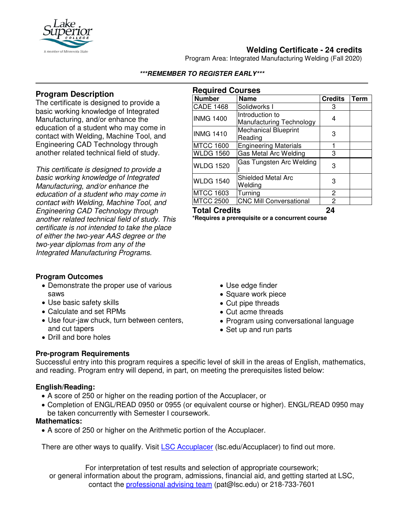

# **Welding Certificate - 24 credits**

Program Area: Integrated Manufacturing Welding (Fall 2020)

## **Program Description**

The certificate is designed to provide a basic working knowledge of Integrated Manufacturing, and/or enhance the education of a student who may come in contact with Welding, Machine Tool, and Engineering CAD Technology through another related technical field of study.

*This certificate is designed to provide a basic working knowledge of Integrated Manufacturing, and/or enhance the education of a student who may come in contact with Welding, Machine Tool, and Engineering CAD Technology through another related technical field of study. This certificate is not intended to take the place of either the two-year AAS degree or the two-year diplomas from any of the Integrated Manufacturing Programs.*

### **Program Outcomes**

- Demonstrate the proper use of various saws
- Use basic safety skills
- Calculate and set RPMs
- Use four-jaw chuck, turn between centers, and cut tapers
- Drill and bore holes

# • Use edge finder

- Square work piece
- Cut pipe threads
- Cut acme threads
- Program using conversational language
- Set up and run parts

### **Pre-program Requirements**

Successful entry into this program requires a specific level of skill in the areas of English, mathematics, and reading. Program entry will depend, in part, on meeting the prerequisites listed below:

### **English/Reading:**

- A score of 250 or higher on the reading portion of the Accuplacer, or
- Completion of ENGL/READ 0950 or 0955 (or equivalent course or higher). ENGL/READ 0950 may be taken concurrently with Semester I coursework.

### **Mathematics:**

• A score of 250 or higher on the Arithmetic portion of the Accuplacer.

There are other ways to qualify. Visit [LSC Accuplacer](https://www.lsc.edu/accuplacer/) (lsc.edu/Accuplacer) to find out more.

For interpretation of test results and selection of appropriate coursework; or general information about the program, admissions, financial aid, and getting started at LSC, contact the [professional advising team](mailto:pat@lsc.edu) (pat@lsc.edu) or 218-733-7601

|          | <b>Required Courses</b> |
|----------|-------------------------|
| l Number | Name                    |
|          |                         |

**\*\*\*REMEMBER TO REGISTER EARLY\*\*\***

| <b>Number</b>        | <b>Name</b>                    | <b>Credits</b> | Term |
|----------------------|--------------------------------|----------------|------|
| <b>CADE 1468</b>     | Solidworks I                   | 3              |      |
| <b>INMG 1400</b>     | Introduction to                | 4              |      |
|                      | Manufacturing Technology       |                |      |
| <b>INMG 1410</b>     | <b>Mechanical Blueprint</b>    | 3              |      |
|                      | Reading                        |                |      |
| <b>MTCC 1600</b>     | <b>Engineering Materials</b>   |                |      |
| <b>WLDG 1560</b>     | Gas Metal Arc Welding          | 3              |      |
| <b>WLDG 1520</b>     | Gas Tungsten Arc Welding       | 3              |      |
| <b>WLDG 1540</b>     | <b>Shielded Metal Arc</b>      | 3              |      |
|                      | Welding                        |                |      |
| <b>MTCC 1603</b>     | Turning                        | 2              |      |
| <b>MTCC 2500</b>     | <b>CNC Mill Conversational</b> | 2              |      |
| <b>Total Credits</b> |                                | 24             |      |

**\*Requires a prerequisite or a concurrent course**